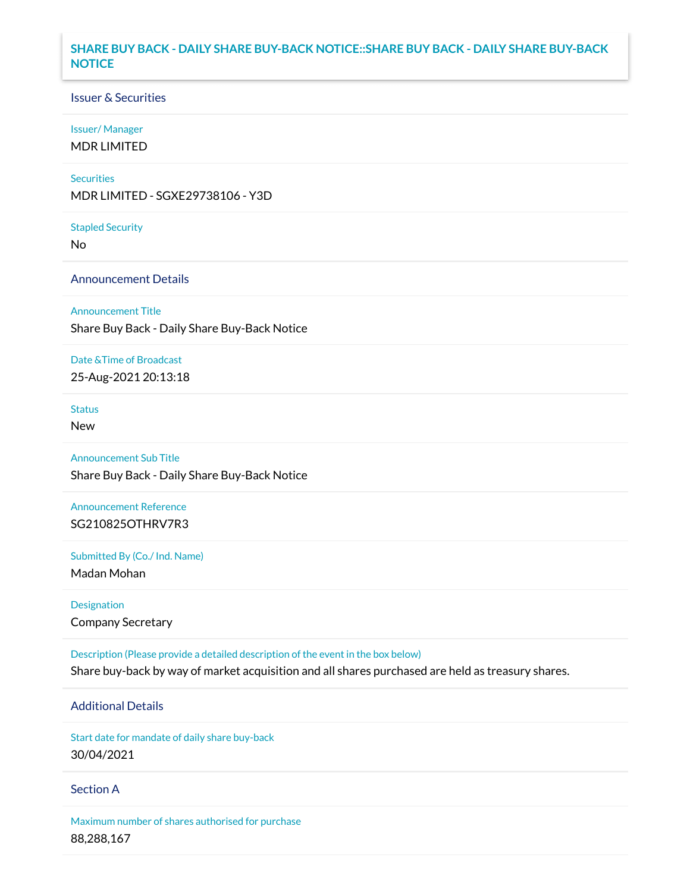### **SHARE BUY BACK - DAILY SHARE BUY-BACK NOTICE::SHARE BUY BACK - DAILY SHARE BUY-BACK NOTICE**

### Issuer & Securities

#### Issuer/ Manager

MDR LIMITED

#### **Securities**

MDR LIMITED - SGXE29738106 - Y3D

#### Stapled Security

No

### Announcement Details

#### Announcement Title

Share Buy Back - Daily Share Buy-Back Notice

### Date &Time of Broadcast

25-Aug-2021 20:13:18

## **Status**

New

# Announcement Sub Title

Share Buy Back - Daily Share Buy-Back Notice

# Announcement Reference SG210825OTHRV7R3

Submitted By (Co./ Ind. Name)

Madan Mohan

## Designation Company Secretary

Description (Please provide a detailed description of the event in the box below) Share buy-back by way of market acquisition and all shares purchased are held as treasury shares.

# Additional Details

Start date for mandate of daily share buy-back 30/04/2021

### Section A

Maximum number of shares authorised for purchase 88,288,167